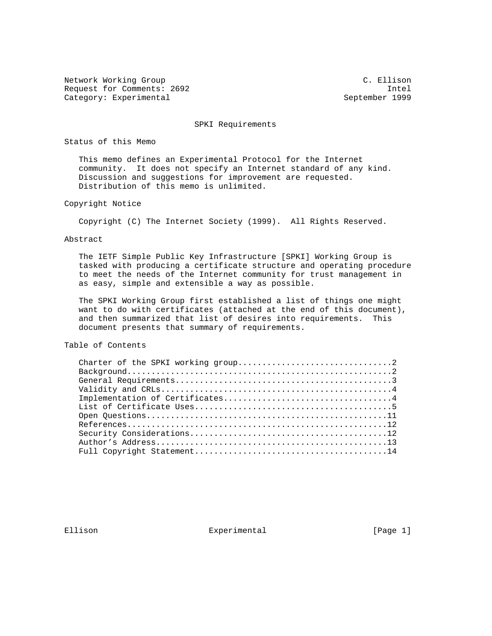Network Working Group C. Ellison Request for Comments: 2692 **Intel** Category: Experimental September 1999

SPKI Requirements

Status of this Memo

 This memo defines an Experimental Protocol for the Internet community. It does not specify an Internet standard of any kind. Discussion and suggestions for improvement are requested. Distribution of this memo is unlimited.

Copyright Notice

Copyright (C) The Internet Society (1999). All Rights Reserved.

Abstract

 The IETF Simple Public Key Infrastructure [SPKI] Working Group is tasked with producing a certificate structure and operating procedure to meet the needs of the Internet community for trust management in as easy, simple and extensible a way as possible.

 The SPKI Working Group first established a list of things one might want to do with certificates (attached at the end of this document), and then summarized that list of desires into requirements. This document presents that summary of requirements.

Table of Contents

Ellison **Experimental** Experimental [Page 1]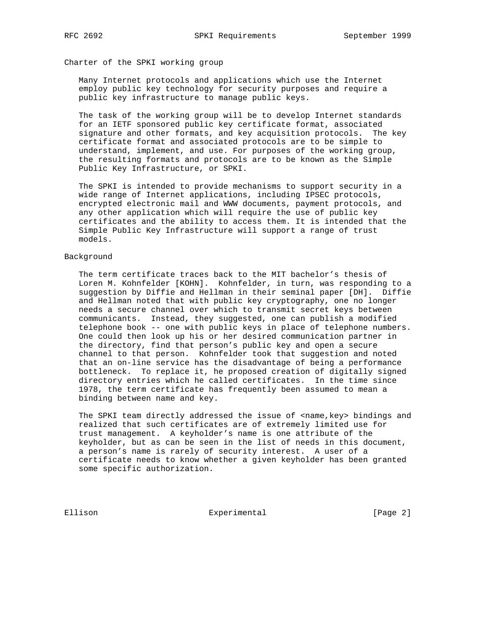## Charter of the SPKI working group

 Many Internet protocols and applications which use the Internet employ public key technology for security purposes and require a public key infrastructure to manage public keys.

 The task of the working group will be to develop Internet standards for an IETF sponsored public key certificate format, associated signature and other formats, and key acquisition protocols. The key certificate format and associated protocols are to be simple to understand, implement, and use. For purposes of the working group, the resulting formats and protocols are to be known as the Simple Public Key Infrastructure, or SPKI.

 The SPKI is intended to provide mechanisms to support security in a wide range of Internet applications, including IPSEC protocols, encrypted electronic mail and WWW documents, payment protocols, and any other application which will require the use of public key certificates and the ability to access them. It is intended that the Simple Public Key Infrastructure will support a range of trust models.

## Background

 The term certificate traces back to the MIT bachelor's thesis of Loren M. Kohnfelder [KOHN]. Kohnfelder, in turn, was responding to a suggestion by Diffie and Hellman in their seminal paper [DH]. Diffie and Hellman noted that with public key cryptography, one no longer needs a secure channel over which to transmit secret keys between communicants. Instead, they suggested, one can publish a modified telephone book -- one with public keys in place of telephone numbers. One could then look up his or her desired communication partner in the directory, find that person's public key and open a secure channel to that person. Kohnfelder took that suggestion and noted that an on-line service has the disadvantage of being a performance bottleneck. To replace it, he proposed creation of digitally signed directory entries which he called certificates. In the time since 1978, the term certificate has frequently been assumed to mean a binding between name and key.

The SPKI team directly addressed the issue of <name, key> bindings and realized that such certificates are of extremely limited use for trust management. A keyholder's name is one attribute of the keyholder, but as can be seen in the list of needs in this document, a person's name is rarely of security interest. A user of a certificate needs to know whether a given keyholder has been granted some specific authorization.

Ellison Experimental [Page 2]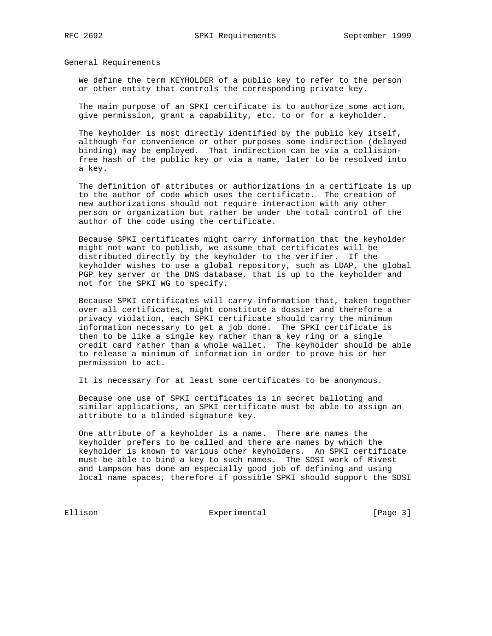General Requirements

 We define the term KEYHOLDER of a public key to refer to the person or other entity that controls the corresponding private key.

 The main purpose of an SPKI certificate is to authorize some action, give permission, grant a capability, etc. to or for a keyholder.

 The keyholder is most directly identified by the public key itself, although for convenience or other purposes some indirection (delayed binding) may be employed. That indirection can be via a collision free hash of the public key or via a name, later to be resolved into a key.

 The definition of attributes or authorizations in a certificate is up to the author of code which uses the certificate. The creation of new authorizations should not require interaction with any other person or organization but rather be under the total control of the author of the code using the certificate.

 Because SPKI certificates might carry information that the keyholder might not want to publish, we assume that certificates will be distributed directly by the keyholder to the verifier. If the keyholder wishes to use a global repository, such as LDAP, the global PGP key server or the DNS database, that is up to the keyholder and not for the SPKI WG to specify.

 Because SPKI certificates will carry information that, taken together over all certificates, might constitute a dossier and therefore a privacy violation, each SPKI certificate should carry the minimum information necessary to get a job done. The SPKI certificate is then to be like a single key rather than a key ring or a single credit card rather than a whole wallet. The keyholder should be able to release a minimum of information in order to prove his or her permission to act.

It is necessary for at least some certificates to be anonymous.

 Because one use of SPKI certificates is in secret balloting and similar applications, an SPKI certificate must be able to assign an attribute to a blinded signature key.

 One attribute of a keyholder is a name. There are names the keyholder prefers to be called and there are names by which the keyholder is known to various other keyholders. An SPKI certificate must be able to bind a key to such names. The SDSI work of Rivest and Lampson has done an especially good job of defining and using local name spaces, therefore if possible SPKI should support the SDSI

Ellison Experimental [Page 3]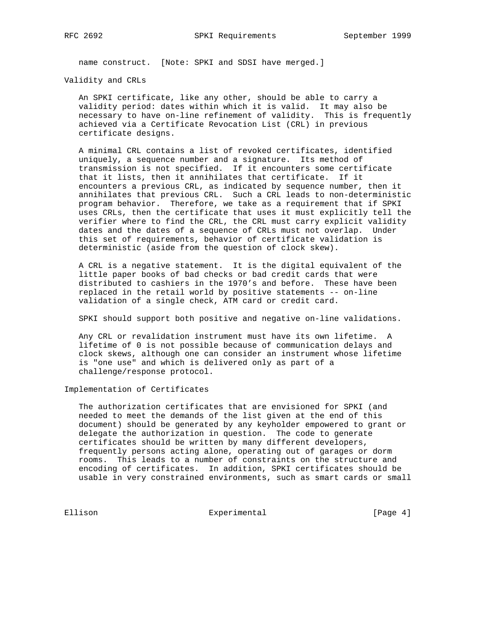name construct. [Note: SPKI and SDSI have merged.]

Validity and CRLs

 An SPKI certificate, like any other, should be able to carry a validity period: dates within which it is valid. It may also be necessary to have on-line refinement of validity. This is frequently achieved via a Certificate Revocation List (CRL) in previous certificate designs.

 A minimal CRL contains a list of revoked certificates, identified uniquely, a sequence number and a signature. Its method of transmission is not specified. If it encounters some certificate that it lists, then it annihilates that certificate. If it encounters a previous CRL, as indicated by sequence number, then it annihilates that previous CRL. Such a CRL leads to non-deterministic program behavior. Therefore, we take as a requirement that if SPKI uses CRLs, then the certificate that uses it must explicitly tell the verifier where to find the CRL, the CRL must carry explicit validity dates and the dates of a sequence of CRLs must not overlap. Under this set of requirements, behavior of certificate validation is deterministic (aside from the question of clock skew).

 A CRL is a negative statement. It is the digital equivalent of the little paper books of bad checks or bad credit cards that were distributed to cashiers in the 1970's and before. These have been replaced in the retail world by positive statements -- on-line validation of a single check, ATM card or credit card.

SPKI should support both positive and negative on-line validations.

 Any CRL or revalidation instrument must have its own lifetime. A lifetime of 0 is not possible because of communication delays and clock skews, although one can consider an instrument whose lifetime is "one use" and which is delivered only as part of a challenge/response protocol.

Implementation of Certificates

 The authorization certificates that are envisioned for SPKI (and needed to meet the demands of the list given at the end of this document) should be generated by any keyholder empowered to grant or delegate the authorization in question. The code to generate certificates should be written by many different developers, frequently persons acting alone, operating out of garages or dorm rooms. This leads to a number of constraints on the structure and encoding of certificates. In addition, SPKI certificates should be usable in very constrained environments, such as smart cards or small

Ellison Experimental [Page 4]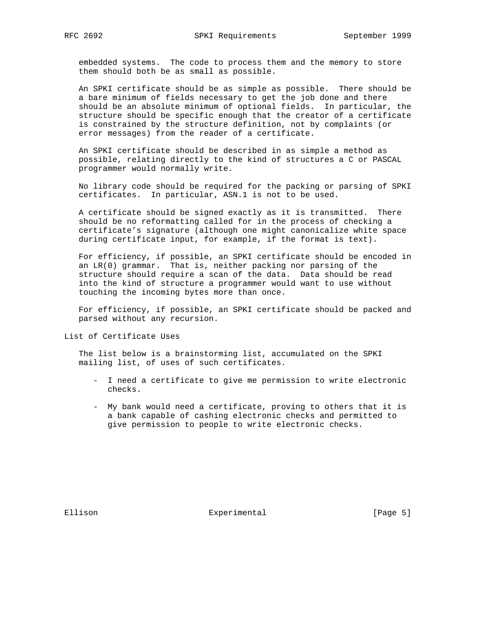embedded systems. The code to process them and the memory to store them should both be as small as possible.

 An SPKI certificate should be as simple as possible. There should be a bare minimum of fields necessary to get the job done and there should be an absolute minimum of optional fields. In particular, the structure should be specific enough that the creator of a certificate is constrained by the structure definition, not by complaints (or error messages) from the reader of a certificate.

 An SPKI certificate should be described in as simple a method as possible, relating directly to the kind of structures a C or PASCAL programmer would normally write.

 No library code should be required for the packing or parsing of SPKI certificates. In particular, ASN.1 is not to be used.

 A certificate should be signed exactly as it is transmitted. There should be no reformatting called for in the process of checking a certificate's signature (although one might canonicalize white space during certificate input, for example, if the format is text).

 For efficiency, if possible, an SPKI certificate should be encoded in an LR(0) grammar. That is, neither packing nor parsing of the structure should require a scan of the data. Data should be read into the kind of structure a programmer would want to use without touching the incoming bytes more than once.

 For efficiency, if possible, an SPKI certificate should be packed and parsed without any recursion.

List of Certificate Uses

 The list below is a brainstorming list, accumulated on the SPKI mailing list, of uses of such certificates.

- I need a certificate to give me permission to write electronic checks.
- My bank would need a certificate, proving to others that it is a bank capable of cashing electronic checks and permitted to give permission to people to write electronic checks.

Ellison **Experimental** [Page 5]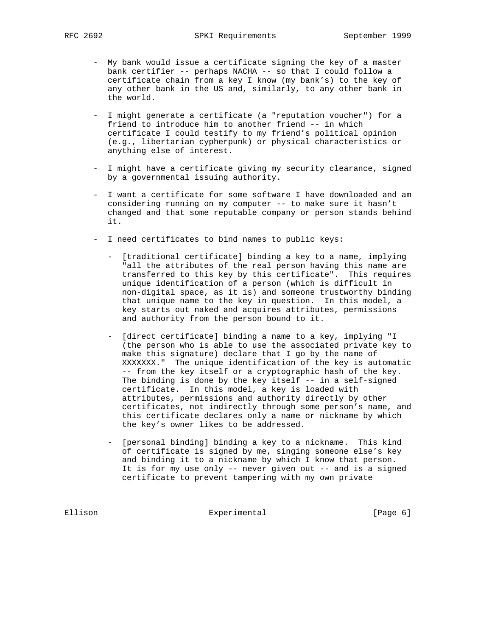- My bank would issue a certificate signing the key of a master bank certifier -- perhaps NACHA -- so that I could follow a certificate chain from a key I know (my bank's) to the key of any other bank in the US and, similarly, to any other bank in the world.
- I might generate a certificate (a "reputation voucher") for a friend to introduce him to another friend -- in which certificate I could testify to my friend's political opinion (e.g., libertarian cypherpunk) or physical characteristics or anything else of interest.
- I might have a certificate giving my security clearance, signed by a governmental issuing authority.
- I want a certificate for some software I have downloaded and am considering running on my computer -- to make sure it hasn't changed and that some reputable company or person stands behind it.
- I need certificates to bind names to public keys:
	- [traditional certificate] binding a key to a name, implying "all the attributes of the real person having this name are transferred to this key by this certificate". This requires unique identification of a person (which is difficult in non-digital space, as it is) and someone trustworthy binding that unique name to the key in question. In this model, a key starts out naked and acquires attributes, permissions and authority from the person bound to it.
	- [direct certificate] binding a name to a key, implying "I (the person who is able to use the associated private key to make this signature) declare that I go by the name of XXXXXXX." The unique identification of the key is automatic -- from the key itself or a cryptographic hash of the key. The binding is done by the key itself -- in a self-signed certificate. In this model, a key is loaded with attributes, permissions and authority directly by other certificates, not indirectly through some person's name, and this certificate declares only a name or nickname by which the key's owner likes to be addressed.
	- [personal binding] binding a key to a nickname. This kind of certificate is signed by me, singing someone else's key and binding it to a nickname by which I know that person. It is for my use only -- never given out -- and is a signed certificate to prevent tampering with my own private

Ellison Experimental [Page 6]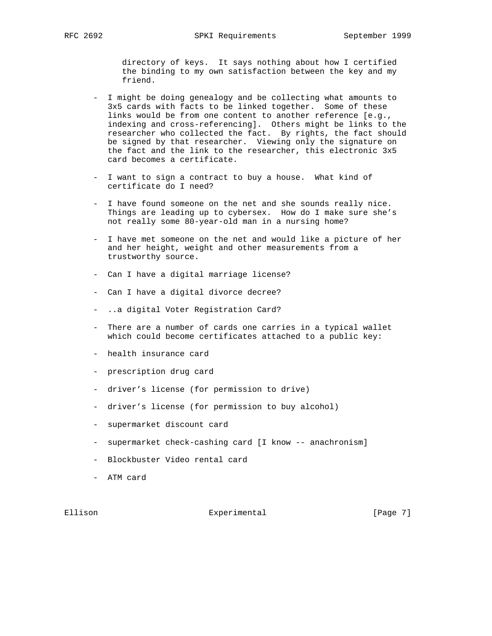directory of keys. It says nothing about how I certified the binding to my own satisfaction between the key and my friend.

- I might be doing genealogy and be collecting what amounts to 3x5 cards with facts to be linked together. Some of these links would be from one content to another reference [e.g., indexing and cross-referencing]. Others might be links to the researcher who collected the fact. By rights, the fact should be signed by that researcher. Viewing only the signature on the fact and the link to the researcher, this electronic 3x5 card becomes a certificate.
- I want to sign a contract to buy a house. What kind of certificate do I need?
- I have found someone on the net and she sounds really nice. Things are leading up to cybersex. How do I make sure she's not really some 80-year-old man in a nursing home?
- I have met someone on the net and would like a picture of her and her height, weight and other measurements from a trustworthy source.
- Can I have a digital marriage license?
- Can I have a digital divorce decree?
- ..a digital Voter Registration Card?
- There are a number of cards one carries in a typical wallet which could become certificates attached to a public key:
- health insurance card
- prescription drug card
- driver's license (for permission to drive)
- driver's license (for permission to buy alcohol)
- supermarket discount card
- supermarket check-cashing card [I know -- anachronism]
- Blockbuster Video rental card
- ATM card

Ellison **Experimental** [Page 7]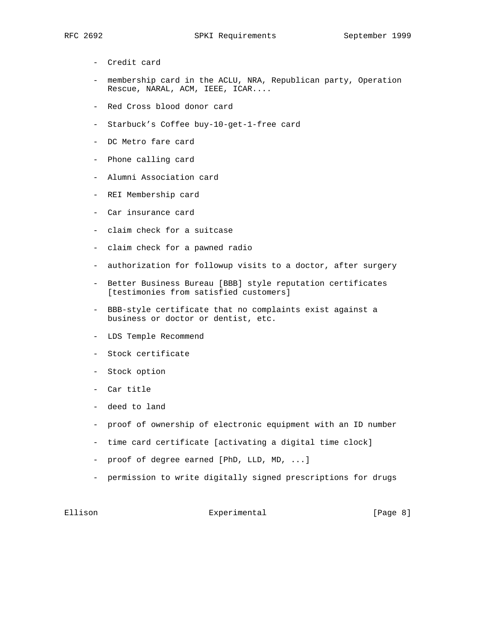- Credit card
- membership card in the ACLU, NRA, Republican party, Operation Rescue, NARAL, ACM, IEEE, ICAR....
- Red Cross blood donor card
- Starbuck's Coffee buy-10-get-1-free card
- DC Metro fare card
- Phone calling card
- Alumni Association card
- REI Membership card
- Car insurance card
- claim check for a suitcase
- claim check for a pawned radio
- authorization for followup visits to a doctor, after surgery
- Better Business Bureau [BBB] style reputation certificates [testimonies from satisfied customers]
- BBB-style certificate that no complaints exist against a business or doctor or dentist, etc.
- LDS Temple Recommend
- Stock certificate
- Stock option
- Car title
- deed to land
- proof of ownership of electronic equipment with an ID number
- time card certificate [activating a digital time clock]
- proof of degree earned [PhD, LLD, MD, ...]
- permission to write digitally signed prescriptions for drugs

Ellison **Experimental** Experimental [Page 8]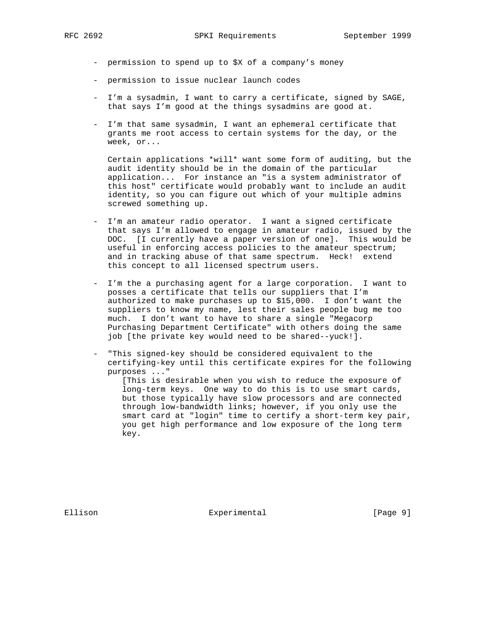- permission to spend up to \$X of a company's money
- permission to issue nuclear launch codes
- I'm a sysadmin, I want to carry a certificate, signed by SAGE, that says I'm good at the things sysadmins are good at.
- I'm that same sysadmin, I want an ephemeral certificate that grants me root access to certain systems for the day, or the week, or...

 Certain applications \*will\* want some form of auditing, but the audit identity should be in the domain of the particular application... For instance an "is a system administrator of this host" certificate would probably want to include an audit identity, so you can figure out which of your multiple admins screwed something up.

- I'm an amateur radio operator. I want a signed certificate that says I'm allowed to engage in amateur radio, issued by the DOC. [I currently have a paper version of one]. This would be useful in enforcing access policies to the amateur spectrum; and in tracking abuse of that same spectrum. Heck! extend this concept to all licensed spectrum users.
- I'm the a purchasing agent for a large corporation. I want to posses a certificate that tells our suppliers that I'm authorized to make purchases up to \$15,000. I don't want the suppliers to know my name, lest their sales people bug me too much. I don't want to have to share a single "Megacorp Purchasing Department Certificate" with others doing the same job [the private key would need to be shared--yuck!].
- "This signed-key should be considered equivalent to the certifying-key until this certificate expires for the following purposes ..."

 [This is desirable when you wish to reduce the exposure of long-term keys. One way to do this is to use smart cards, but those typically have slow processors and are connected through low-bandwidth links; however, if you only use the smart card at "login" time to certify a short-term key pair, you get high performance and low exposure of the long term key.

Ellison **Experimental** [Page 9]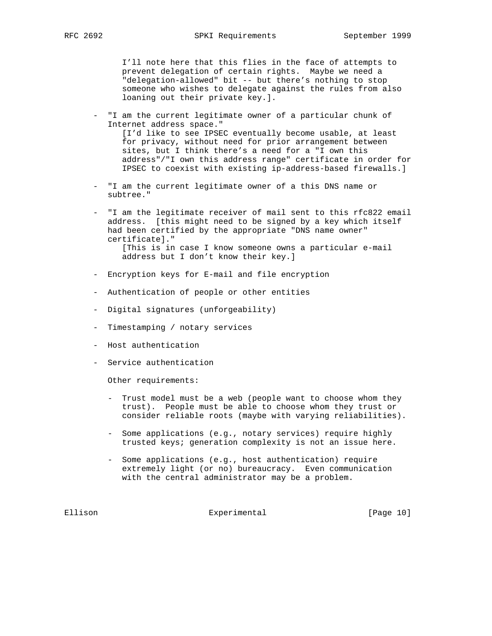I'll note here that this flies in the face of attempts to prevent delegation of certain rights. Maybe we need a "delegation-allowed" bit -- but there's nothing to stop someone who wishes to delegate against the rules from also loaning out their private key.].

- "I am the current legitimate owner of a particular chunk of Internet address space." [I'd like to see IPSEC eventually become usable, at least for privacy, without need for prior arrangement between sites, but I think there's a need for a "I own this address"/"I own this address range" certificate in order for IPSEC to coexist with existing ip-address-based firewalls.]
- "I am the current legitimate owner of a this DNS name or subtree."
- "I am the legitimate receiver of mail sent to this rfc822 email address. [this might need to be signed by a key which itself had been certified by the appropriate "DNS name owner" certificate]." [This is in case I know someone owns a particular e-mail address but I don't know their key.]
- Encryption keys for E-mail and file encryption
- Authentication of people or other entities
- Digital signatures (unforgeability)
- Timestamping / notary services
- Host authentication
- Service authentication

Other requirements:

- Trust model must be a web (people want to choose whom they trust). People must be able to choose whom they trust or consider reliable roots (maybe with varying reliabilities).
- Some applications (e.g., notary services) require highly trusted keys; generation complexity is not an issue here.
- Some applications (e.g., host authentication) require extremely light (or no) bureaucracy. Even communication with the central administrator may be a problem.

Ellison Experimental [Page 10]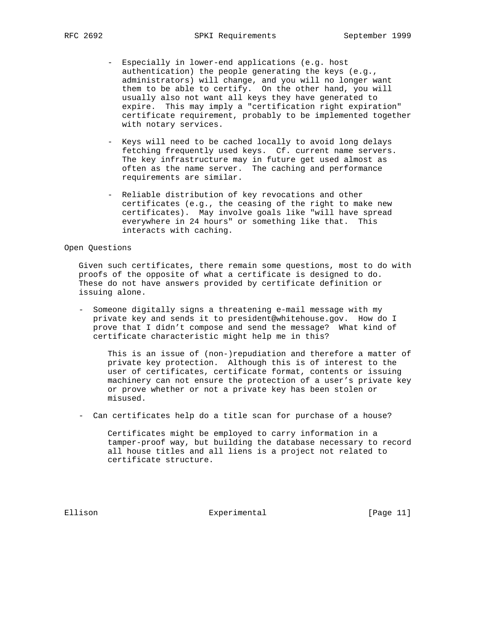- Especially in lower-end applications (e.g. host authentication) the people generating the keys (e.g., administrators) will change, and you will no longer want them to be able to certify. On the other hand, you will usually also not want all keys they have generated to expire. This may imply a "certification right expiration" certificate requirement, probably to be implemented together with notary services.
- Keys will need to be cached locally to avoid long delays fetching frequently used keys. Cf. current name servers. The key infrastructure may in future get used almost as often as the name server. The caching and performance requirements are similar.
- Reliable distribution of key revocations and other certificates (e.g., the ceasing of the right to make new certificates). May involve goals like "will have spread everywhere in 24 hours" or something like that. This interacts with caching.

## Open Questions

 Given such certificates, there remain some questions, most to do with proofs of the opposite of what a certificate is designed to do. These do not have answers provided by certificate definition or issuing alone.

 - Someone digitally signs a threatening e-mail message with my private key and sends it to president@whitehouse.gov. How do I prove that I didn't compose and send the message? What kind of certificate characteristic might help me in this?

 This is an issue of (non-)repudiation and therefore a matter of private key protection. Although this is of interest to the user of certificates, certificate format, contents or issuing machinery can not ensure the protection of a user's private key or prove whether or not a private key has been stolen or misused.

- Can certificates help do a title scan for purchase of a house?

 Certificates might be employed to carry information in a tamper-proof way, but building the database necessary to record all house titles and all liens is a project not related to certificate structure.

Ellison **Experimental** [Page 11]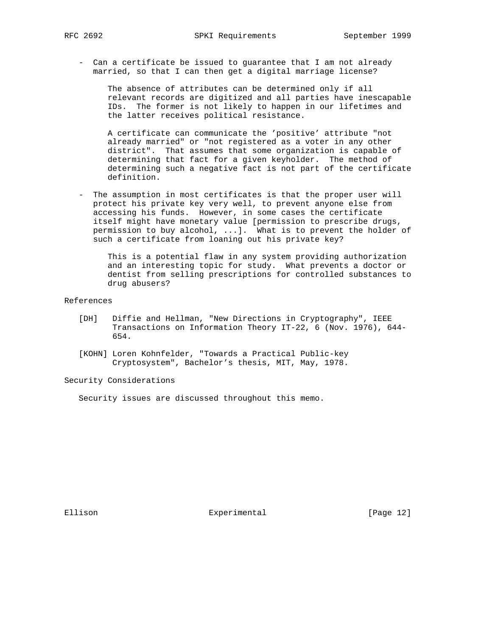- Can a certificate be issued to guarantee that I am not already married, so that I can then get a digital marriage license?

 The absence of attributes can be determined only if all relevant records are digitized and all parties have inescapable IDs. The former is not likely to happen in our lifetimes and the latter receives political resistance.

 A certificate can communicate the 'positive' attribute "not already married" or "not registered as a voter in any other district". That assumes that some organization is capable of determining that fact for a given keyholder. The method of determining such a negative fact is not part of the certificate definition.

 - The assumption in most certificates is that the proper user will protect his private key very well, to prevent anyone else from accessing his funds. However, in some cases the certificate itself might have monetary value [permission to prescribe drugs, permission to buy alcohol, ...]. What is to prevent the holder of such a certificate from loaning out his private key?

 This is a potential flaw in any system providing authorization and an interesting topic for study. What prevents a doctor or dentist from selling prescriptions for controlled substances to drug abusers?

References

- [DH] Diffie and Hellman, "New Directions in Cryptography", IEEE Transactions on Information Theory IT-22, 6 (Nov. 1976), 644- 654.
- [KOHN] Loren Kohnfelder, "Towards a Practical Public-key Cryptosystem", Bachelor's thesis, MIT, May, 1978.

Security Considerations

Security issues are discussed throughout this memo.

Ellison **Experimental** [Page 12]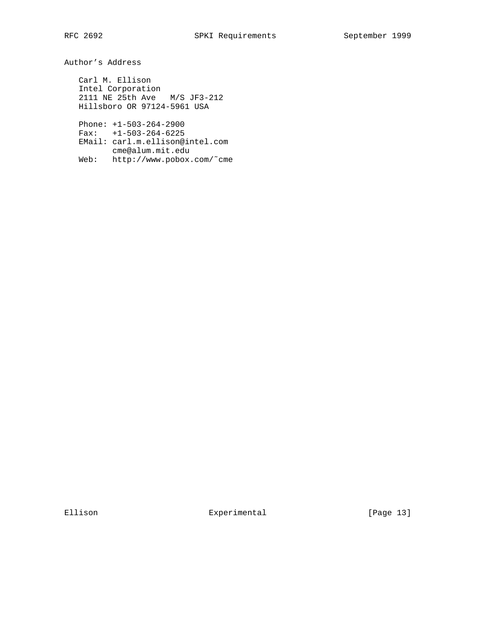Author's Address

 Carl M. Ellison Intel Corporation 2111 NE 25th Ave M/S JF3-212 Hillsboro OR 97124-5961 USA

 Phone: +1-503-264-2900 Fax: +1-503-264-6225 EMail: carl.m.ellison@intel.com cme@alum.mit.edu Web: http://www.pobox.com/˜cme

Ellison Experimental [Page 13]